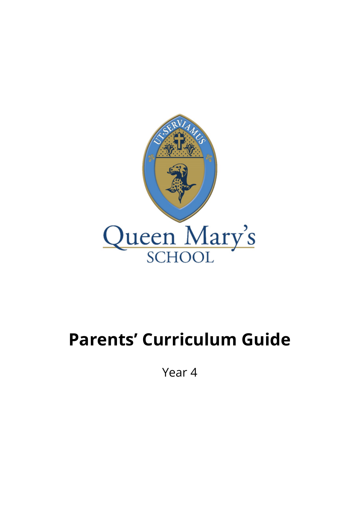

## **Parents' Curriculum Guide**

Year 4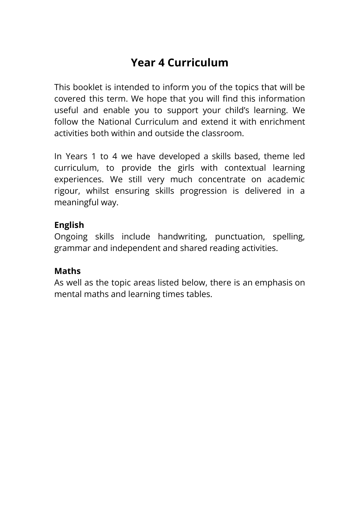## **Year 4 Curriculum**

This booklet is intended to inform you of the topics that will be covered this term. We hope that you will find this information useful and enable you to support your child's learning. We follow the National Curriculum and extend it with enrichment activities both within and outside the classroom.

In Years 1 to 4 we have developed a skills based, theme led curriculum, to provide the girls with contextual learning experiences. We still very much concentrate on academic rigour, whilst ensuring skills progression is delivered in a meaningful way.

## **English**

Ongoing skills include handwriting, punctuation, spelling, grammar and independent and shared reading activities.

## **Maths**

As well as the topic areas listed below, there is an emphasis on mental maths and learning times tables.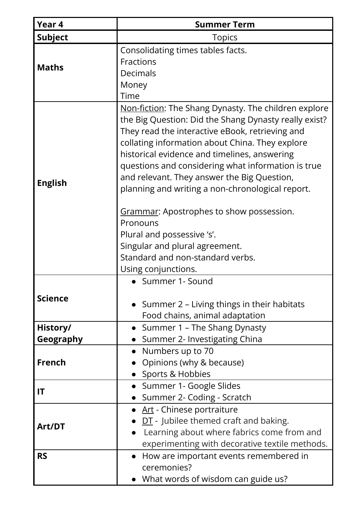| Year 4         | <b>Summer Term</b>                                                                                                                                                                                                                                                                                                                                                                                                                                                                                                                                                                                                     |
|----------------|------------------------------------------------------------------------------------------------------------------------------------------------------------------------------------------------------------------------------------------------------------------------------------------------------------------------------------------------------------------------------------------------------------------------------------------------------------------------------------------------------------------------------------------------------------------------------------------------------------------------|
| <b>Subject</b> | <b>Topics</b>                                                                                                                                                                                                                                                                                                                                                                                                                                                                                                                                                                                                          |
| <b>Maths</b>   | Consolidating times tables facts.<br>Fractions<br>Decimals<br>Money<br>Time                                                                                                                                                                                                                                                                                                                                                                                                                                                                                                                                            |
| <b>English</b> | Non-fiction: The Shang Dynasty. The children explore<br>the Big Question: Did the Shang Dynasty really exist?<br>They read the interactive eBook, retrieving and<br>collating information about China. They explore<br>historical evidence and timelines, answering<br>questions and considering what information is true<br>and relevant. They answer the Big Question,<br>planning and writing a non-chronological report.<br><b>Grammar:</b> Apostrophes to show possession.<br>Pronouns<br>Plural and possessive 's'.<br>Singular and plural agreement.<br>Standard and non-standard verbs.<br>Using conjunctions. |
| <b>Science</b> | • Summer 1- Sound<br>• Summer 2 – Living things in their habitats<br>Food chains, animal adaptation                                                                                                                                                                                                                                                                                                                                                                                                                                                                                                                    |
| History/       | • Summer 1 – The Shang Dynasty                                                                                                                                                                                                                                                                                                                                                                                                                                                                                                                                                                                         |
| Geography      | Summer 2- Investigating China                                                                                                                                                                                                                                                                                                                                                                                                                                                                                                                                                                                          |
| French         | Numbers up to 70<br>Opinions (why & because)<br>Sports & Hobbies                                                                                                                                                                                                                                                                                                                                                                                                                                                                                                                                                       |
| IT             | Summer 1- Google Slides<br>Summer 2- Coding - Scratch                                                                                                                                                                                                                                                                                                                                                                                                                                                                                                                                                                  |
| Art/DT         | • Art - Chinese portraiture<br>$DT$ - Jubilee themed craft and baking.<br>Learning about where fabrics come from and<br>experimenting with decorative textile methods.                                                                                                                                                                                                                                                                                                                                                                                                                                                 |
| <b>RS</b>      | How are important events remembered in<br>ceremonies?<br>$\bullet$ What words of wisdom can guide us?                                                                                                                                                                                                                                                                                                                                                                                                                                                                                                                  |